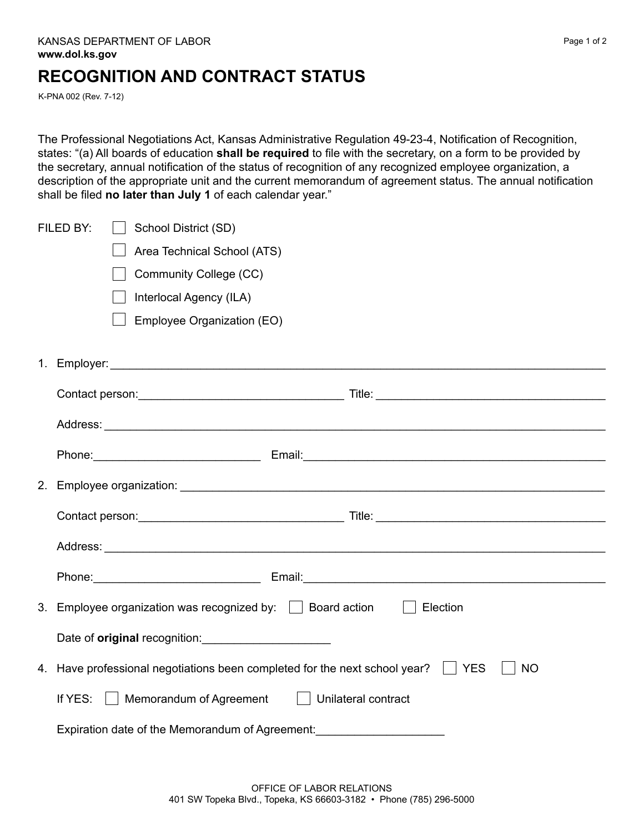## **RECOGNITION AND CONTRACT STATUS**

K-PNA 002 (Rev. 7-12)

The Professional Negotiations Act, Kansas Administrative Regulation 49-23-4, Notification of Recognition, states: "(a) All boards of education **shall be required** to file with the secretary, on a form to be provided by the secretary, annual notification of the status of recognition of any recognized employee organization, a description of the appropriate unit and the current memorandum of agreement status. The annual notification shall be filed **no later than July 1** of each calendar year."

| FILED BY:<br>School District (SD)                                                                                                                                                                                              |
|--------------------------------------------------------------------------------------------------------------------------------------------------------------------------------------------------------------------------------|
| Area Technical School (ATS)                                                                                                                                                                                                    |
| Community College (CC)                                                                                                                                                                                                         |
| Interlocal Agency (ILA)                                                                                                                                                                                                        |
| Employee Organization (EO)                                                                                                                                                                                                     |
|                                                                                                                                                                                                                                |
|                                                                                                                                                                                                                                |
|                                                                                                                                                                                                                                |
| Phone: 2008. [2016] Phone: 2016. [2016] Phone: 2016. [2016] Email: 2016. [2016] Email: 2016. [2016] Phone: 2016. [2016] Phone: 2016. [2016] Phone: 2016. [2016] Phone: 2016. [2016] Phone: 2016. [2016] Phone: 2016. [2016] Ph |
|                                                                                                                                                                                                                                |
|                                                                                                                                                                                                                                |
|                                                                                                                                                                                                                                |
| Phone: 2008. [2016] Phone: 2016. [2016] Phone: 2016. [2016] Email: 2016. [2016] Email: 2016. [2016] Phone: 2016. [2016] Phone: 2016. [2016] Phone: 2016. [2016] Phone: 2016. [2016] Phone: 2016. [2016] Phone: 2016. [2016] Ph |
| 3. Employee organization was recognized by: $\Box$ Board action<br>Election                                                                                                                                                    |
|                                                                                                                                                                                                                                |
| 4. Have professional negotiations been completed for the next school year?   YES<br><b>NO</b>                                                                                                                                  |
| If YES:<br>Memorandum of Agreement  <br>Unilateral contract                                                                                                                                                                    |
| Expiration date of the Memorandum of Agreement:                                                                                                                                                                                |